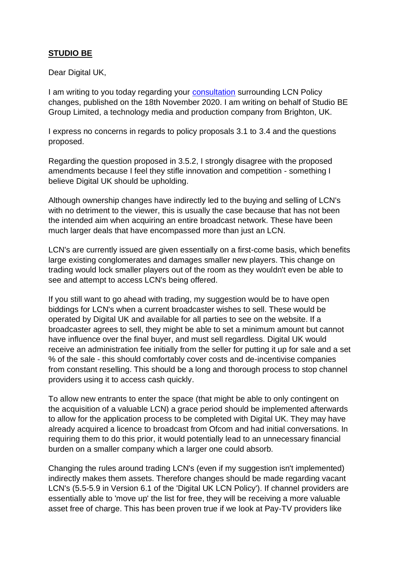## **STUDIO BE**

Dear Digital UK,

I am writing to you today regarding your [consultation](https://eur03.safelinks.protection.outlook.com/?url=https%3A%2F%2Fwww.freeview.co.uk%2Fsites%2Fdefault%2Ffiles%2F2020-11%2Fconsultation-changes-to-digital-uk-lcn-policy-18-nov-2020.pdf&data=04%7C01%7CSarah.Fox%40digitaluk.co.uk%7C48803a8be7d74e068d3908d8b7d35679%7Ce12f464f14044bdb876393990b1e8be7%7C1%7C0%7C637461465609438519%7CUnknown%7CTWFpbGZsb3d8eyJWIjoiMC4wLjAwMDAiLCJQIjoiV2luMzIiLCJBTiI6Ik1haWwiLCJXVCI6Mn0%3D%7C1000&sdata=6b5U0Qz55DreVINDG7BgHgvvcwS339G46YdjaKqKcpM%3D&reserved=0) surrounding LCN Policy changes, published on the 18th November 2020. I am writing on behalf of Studio BE Group Limited, a technology media and production company from Brighton, UK.

I express no concerns in regards to policy proposals 3.1 to 3.4 and the questions proposed.

Regarding the question proposed in 3.5.2, I strongly disagree with the proposed amendments because I feel they stifle innovation and competition - something I believe Digital UK should be upholding.

Although ownership changes have indirectly led to the buying and selling of LCN's with no detriment to the viewer, this is usually the case because that has not been the intended aim when acquiring an entire broadcast network. These have been much larger deals that have encompassed more than just an LCN.

LCN's are currently issued are given essentially on a first-come basis, which benefits large existing conglomerates and damages smaller new players. This change on trading would lock smaller players out of the room as they wouldn't even be able to see and attempt to access LCN's being offered.

If you still want to go ahead with trading, my suggestion would be to have open biddings for LCN's when a current broadcaster wishes to sell. These would be operated by Digital UK and available for all parties to see on the website. If a broadcaster agrees to sell, they might be able to set a minimum amount but cannot have influence over the final buyer, and must sell regardless. Digital UK would receive an administration fee initially from the seller for putting it up for sale and a set % of the sale - this should comfortably cover costs and de-incentivise companies from constant reselling. This should be a long and thorough process to stop channel providers using it to access cash quickly.

To allow new entrants to enter the space (that might be able to only contingent on the acquisition of a valuable LCN) a grace period should be implemented afterwards to allow for the application process to be completed with Digital UK. They may have already acquired a licence to broadcast from Ofcom and had initial conversations. In requiring them to do this prior, it would potentially lead to an unnecessary financial burden on a smaller company which a larger one could absorb.

Changing the rules around trading LCN's (even if my suggestion isn't implemented) indirectly makes them assets. Therefore changes should be made regarding vacant LCN's (5.5-5.9 in Version 6.1 of the 'Digital UK LCN Policy'). If channel providers are essentially able to 'move up' the list for free, they will be receiving a more valuable asset free of charge. This has been proven true if we look at Pay-TV providers like